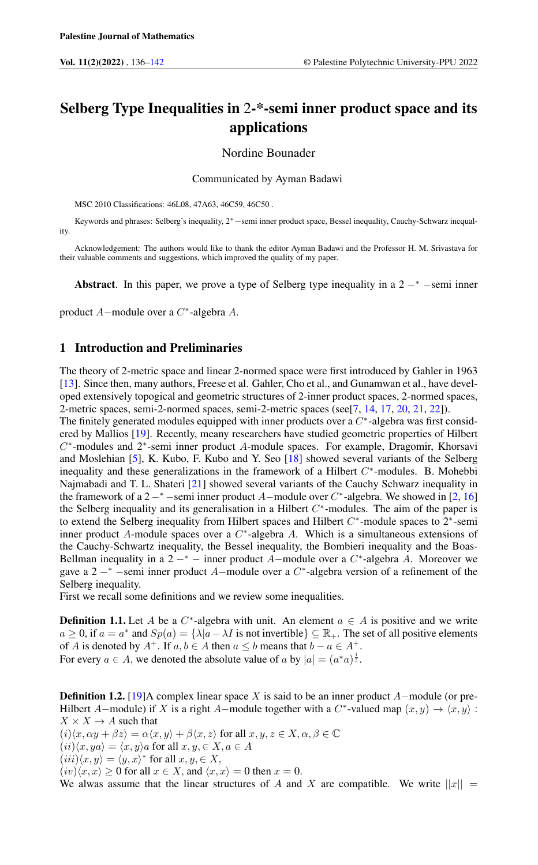# Selberg Type Inequalities in 2-\*-semi inner product space and its applications

Nordine Bounader

Communicated by Ayman Badawi

MSC 2010 Classifications: 46L08, 47A63, 46C59, 46C50 .

Keywords and phrases: Selberg's inequality, 2∗−semi inner product space, Bessel inequality, Cauchy-Schwarz inequality.

Acknowledgement: The authors would like to thank the editor Ayman Badawi and the Professor H. M. Srivastava for their valuable comments and suggestions, which improved the quality of my paper.

Abstract. In this paper, we prove a type of Selberg type inequality in a  $2 -<sup>*</sup>$  -semi inner

product A−module over a C ∗ -algebra A.

## 1 Introduction and Preliminaries

The theory of 2-metric space and linear 2-normed space were first introduced by Gahler in 1963 [\[13\]](#page-6-1). Since then, many authors, Freese et al. Gahler, Cho et al., and Gunamwan et al., have developed extensively topogical and geometric structures of 2-inner product spaces, 2-normed spaces, 2-metric spaces, semi-2-normed spaces, semi-2-metric spaces (see[\[7,](#page-6-2) [14,](#page-6-3) [17,](#page-6-4) [20,](#page-6-5) [21,](#page-6-6) [22\]](#page-6-7)).

The finitely generated modules equipped with inner products over a  $C^*$ -algebra was first considered by Mallios [\[19\]](#page-6-8). Recently, meany researchers have studied geometric properties of Hilbert C<sup>\*</sup>-modules and 2<sup>\*</sup>-semi inner product A-module spaces. For example, Dragomir, Khorsavi and Moslehian [\[5\]](#page-6-9), K. Kubo, F. Kubo and Y. Seo [\[18\]](#page-6-10) showed several variants of the Selberg inequality and these generalizations in the framework of a Hilbert  $C^*$ -modules. B. Mohebbi Najmabadi and T. L. Shateri [\[21\]](#page-6-6) showed several variants of the Cauchy Schwarz inequality in the framework of a 2<sup>-∗</sup> –semi inner product A–module over  $C^*$ -algebra. We showed in [\[2,](#page-6-11) [16\]](#page-6-12) the Selberg inequality and its generalisation in a Hilbert  $C^*$ -modules. The aim of the paper is to extend the Selberg inequality from Hilbert spaces and Hilbert  $C^*$ -module spaces to 2<sup>\*</sup>-semi inner product A-module spaces over a  $C^*$ -algebra A. Which is a simultaneous extensions of the Cauchy-Schwartz inequality, the Bessel inequality, the Bombieri inequality and the Boas-Bellman inequality in a  $2 - * -$  inner product A-module over a  $C^*$ -algebra A. Moreover we gave a  $2 - * -$ semi inner product A-module over a  $C^*$ -algebra version of a refinement of the Selberg inequality.

First we recall some definitions and we review some inequalities.

**Definition 1.1.** Let A be a  $C^*$ -algebra with unit. An element  $a \in A$  is positive and we write  $a \ge 0$ , if  $a = a^*$  and  $Sp(a) = \{ \lambda | a - \lambda I \text{ is not invertible} \} \subseteq \mathbb{R}_+$ . The set of all positive elements of A is denoted by  $A^+$ . If  $a, b \in A$  then  $a \le b$  means that  $b - a \in A^+$ . For every  $a \in A$ , we denoted the absolute value of a by  $|a| = (a^*a)^{\frac{1}{2}}$ .

**Definition 1.2.** [\[19\]](#page-6-8)A complex linear space X is said to be an inner product  $A$ –module (or pre-Hilbert A–module) if X is a right A–module together with a C<sup>\*</sup>-valued map  $(x, y) \rightarrow \langle x, y \rangle$ :  $X \times X \rightarrow A$  such that  $(i)\langle x, \alpha y + \beta z \rangle = \alpha \langle x, y \rangle + \beta \langle x, z \rangle$  for all  $x, y, z \in X, \alpha, \beta \in \mathbb{C}$  $(ii)\langle x, ya \rangle = \langle x, y \rangle a$  for all  $x, y \in X, a \in A$  $(iii)\langle x, y \rangle = \langle y, x \rangle^*$  for all  $x, y \in X$ ,  $(iv)\langle x, x \rangle \ge 0$  for all  $x \in X$ , and  $\langle x, x \rangle = 0$  then  $x = 0$ . We alwas assume that the linear structures of A and X are compatible. We write  $||x|| =$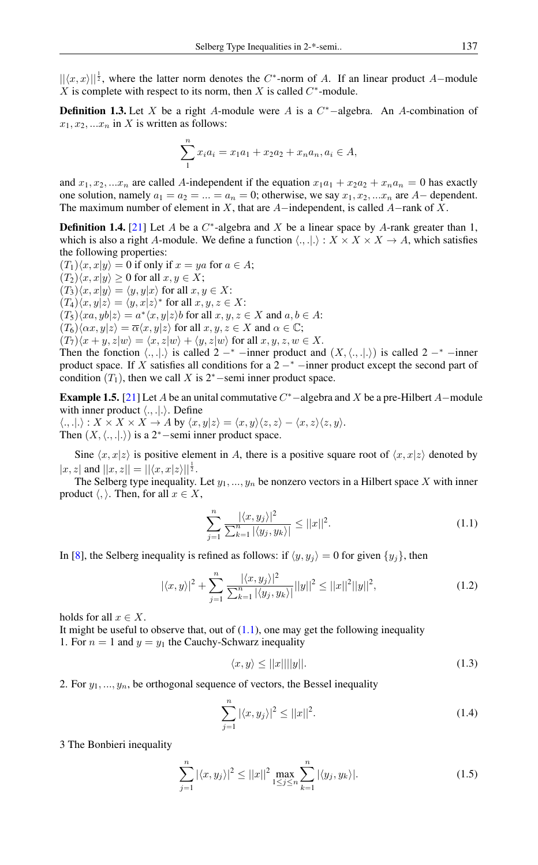$||\langle x, x \rangle||^{\frac{1}{2}}$ , where the latter norm denotes the C<sup>\*</sup>-norm of A. If an linear product A–module  $X$  is complete with respect to its norm, then  $X$  is called  $C^*$ -module.

**Definition 1.3.** Let X be a right A-module were A is a  $C^*$ -algebra. An A-combination of  $x_1, x_2, ... x_n$  in X is written as follows:

$$
\sum_{1}^{n} x_i a_i = x_1 a_1 + x_2 a_2 + x_n a_n, a_i \in A,
$$

and  $x_1, x_2, ... x_n$  are called A-independent if the equation  $x_1a_1 + x_2a_2 + x_na_n = 0$  has exactly one solution, namely  $a_1 = a_2 = ... = a_n = 0$ ; otherwise, we say  $x_1, x_2, ... x_n$  are A– dependent. The maximum number of element in X, that are  $A$ -independent, is called  $A$ -rank of X.

**Definition 1.4.** [\[21\]](#page-6-6) Let A be a  $C^*$ -algebra and X be a linear space by A-rank greater than 1, which is also a right A-module. We define a function  $\langle ., ., . \rangle : X \times X \times X \to A$ , which satisfies the following properties:

 $(T_1)\langle x, x|y\rangle = 0$  if only if  $x = ya$  for  $a \in A$ ;  $(T_2)\langle x, x|y\rangle \geq 0$  for all  $x, y \in X$ ;  $(T_3)\langle x, x|y\rangle = \langle y, y|x\rangle$  for all  $x, y \in X$ :  $(T_4)\langle x,y|z\rangle = \langle y,x|z\rangle^*$  for all  $x, y, z \in X$ :  $(T_5)\langle xa, yb|z\rangle = a^* \langle x, y|z\rangle b$  for all  $x, y, z \in X$  and  $a, b \in A$ :  $(T_6)\langle \alpha x, y|z \rangle = \overline{\alpha}\langle x, y|z \rangle$  for all  $x, y, z \in X$  and  $\alpha \in \mathbb{C}$ ;

 $(T_7)\langle x + y, z|w\rangle = \langle x, z|w\rangle + \langle y, z|w\rangle$  for all  $x, y, z, w \in X$ .

Then the fonction  $\langle ., .|. \rangle$  is called 2 −<sup>∗</sup> −inner product and  $(X, \langle ., .|. \rangle)$  is called 2 −<sup>∗</sup> −inner product space. If X satisfies all conditions for a  $2 -<sup>*</sup>$  -inner product except the second part of condition  $(T_1)$ , then we call X is 2<sup>∗</sup>−semi inner product space.

**Example 1.5.** [\[21\]](#page-6-6) Let A be an unital commutative  $C^*$  –algebra and X be a pre-Hilbert A–module with inner product  $\langle ., .|. \rangle$ . Define  $\langle .,.|. \rangle : X \times X \times X \to A$  by  $\langle x, y | z \rangle = \langle x, y \rangle \langle z, z \rangle - \langle x, z \rangle \langle z, y \rangle.$ 

Then  $(X, \langle ., .|. \rangle)$  is a 2<sup>∗</sup>−semi inner product space.

Sine  $\langle x, x|z \rangle$  is positive element in A, there is a positive square root of  $\langle x, x|z \rangle$  denoted by  $|x, z|$  and  $||x, z|| = ||\langle x, x|z\rangle||^{\frac{1}{2}}$ .

The Selberg type inequality. Let  $y_1, ..., y_n$  be nonzero vectors in a Hilbert space X with inner product  $\langle, \rangle$ . Then, for all  $x \in X$ ,

<span id="page-1-1"></span><span id="page-1-0"></span>
$$
\sum_{j=1}^{n} \frac{|\langle x, y_j \rangle|^2}{\sum_{k=1}^{n} |\langle y_j, y_k \rangle|} \le ||x||^2.
$$
 (1.1)

In [\[8\]](#page-6-13), the Selberg inequality is refined as follows: if  $\langle y, y_i \rangle = 0$  for given  $\{y_i\}$ , then

$$
|\langle x, y \rangle|^2 + \sum_{j=1}^n \frac{|\langle x, y_j \rangle|^2}{\sum_{k=1}^n |\langle y_j, y_k \rangle|} ||y||^2 \le ||x||^2 ||y||^2,
$$
\n(1.2)

holds for all  $x \in X$ .

It might be useful to observe that, out of  $(1.1)$ , one may get the following inequality 1. For  $n = 1$  and  $y = y_1$  the Cauchy-Schwarz inequality

$$
\langle x, y \rangle \le ||x|| ||y||. \tag{1.3}
$$

2. For  $y_1, \ldots, y_n$ , be orthogonal sequence of vectors, the Bessel inequality

$$
\sum_{j=1}^{n} |\langle x, y_j \rangle|^2 \le ||x||^2.
$$
 (1.4)

3 The Bonbieri inequality

<span id="page-1-2"></span>
$$
\sum_{j=1}^{n} |\langle x, y_j \rangle|^2 \le ||x||^2 \max_{1 \le j \le n} \sum_{k=1}^{n} |\langle y_j, y_k \rangle|. \tag{1.5}
$$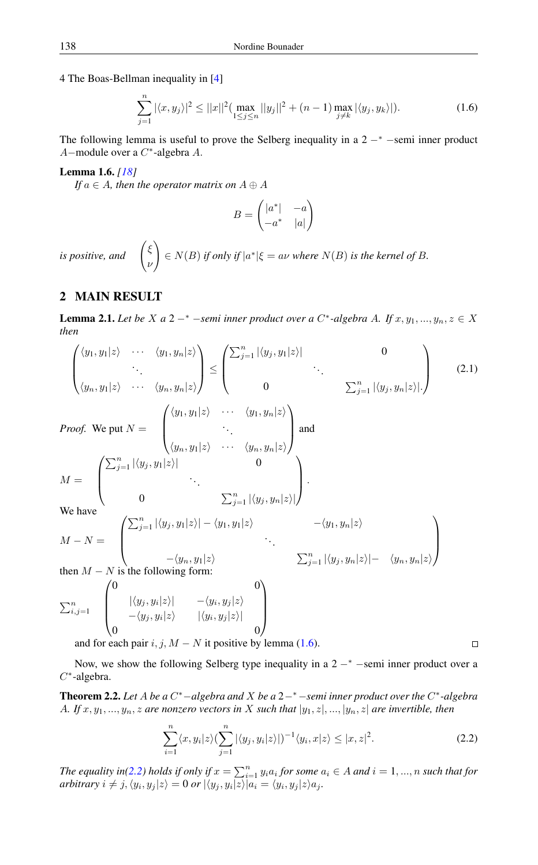4 The Boas-Bellman inequality in [\[4\]](#page-6-14)

$$
\sum_{j=1}^{n} |\langle x, y_j \rangle|^2 \le ||x||^2 \left( \max_{1 \le j \le n} ||y_j||^2 + (n-1) \max_{j \ne k} |\langle y_j, y_k \rangle| \right).
$$
 (1.6)

The following lemma is useful to prove the Selberg inequality in a  $2 -<sup>*</sup>$  -semi inner product A−module over a C ∗ -algebra A.

#### <span id="page-2-0"></span>Lemma 1.6. *[\[18\]](#page-6-10)*

*If*  $a \in A$ *, then the operator matrix on*  $A \oplus A$ 

$$
B = \begin{pmatrix} |a^*| & -a \\ -a^* & |a| \end{pmatrix}
$$

*is positive, and* ξ ν  $\setminus$  $\mathcal{L} \in N(B)$  *if only if*  $|a^*| \xi = a\nu$  *where*  $N(B)$  *is the kernel of* B.

# 2 MAIN RESULT

<span id="page-2-2"></span>**Lemma 2.1.** *Let be*  $X$  *a*  $2 - *$   $-$ *semi inner product over a*  $C^*$ -*algebra A. If*  $x, y_1, ..., y_n, z \in X$ *then*

$$
\begin{pmatrix}\n\langle y_1, y_1 | z \rangle & \cdots & \langle y_1, y_n | z \rangle \\
\vdots & \ddots & \vdots \\
\langle y_n, y_1 | z \rangle & \cdots & \langle y_n, y_n | z \rangle\n\end{pmatrix}\n\le\n\begin{pmatrix}\n\sum_{j=1}^n |\langle y_j, y_1 | z \rangle| & 0 \\
0 & \sum_{j=1}^n |\langle y_j, y_n | z \rangle| \end{pmatrix}
$$
\n*Proof.* We put  $N = \begin{pmatrix}\n\langle y_1, y_1 | z \rangle & \cdots & \langle y_1, y_n | z \rangle \\
\vdots & \ddots & \vdots \\
\langle y_n, y_1 | z \rangle & \cdots & \langle y_n, y_n | z \rangle\n\end{pmatrix}$  and\n
$$
M = \begin{pmatrix}\n\sum_{j=1}^n |\langle y_j, y_1 | z \rangle| & 0 \\
\vdots & \ddots & \vdots \\
0 & \sum_{j=1}^n |\langle y_j, y_n | z \rangle| \end{pmatrix}.
$$
\nWe have\n
$$
M - N = \begin{pmatrix}\n\sum_{j=1}^n |\langle y_j, y_1 | z \rangle| - \langle y_1, y_1 | z \rangle & -\langle y_1, y_n | z \rangle \\
\vdots & \ddots & \vdots \\
\vdots & \ddots & \vdots \\
\langle y_n, y_1 | z \rangle & \cdots & \langle y_n, y_n | z \rangle| \\
-\langle y_n, y_1 | z \rangle & \cdots & \langle y_n, y_n | z \rangle| \\
-\langle y_j, y_i | z \rangle & |\langle y_i, y_j | z \rangle| & 0\n\end{pmatrix}
$$
\n
$$
M = \begin{pmatrix}\n\langle y_1, y_1 | z \rangle & 0 \\
\langle y_2, y_2 | z \rangle & \langle y_2, y_1 | z \rangle \\
\vdots & \ddots & \vdots \\
0 & \cdots & \langle y_n, y_n | z \rangle\n\end{pmatrix}
$$
\n*in the following form:*

and for each pair i, j,  $M - N$  it positive by lemma [\(1.6\)](#page-2-0).

Now, we show the following Selberg type inequality in a  $2 -<sup>*</sup>$  -semi inner product over a  $C^*$ -algebra.

<span id="page-2-3"></span>Theorem 2.2. *Let* A *be a* C <sup>∗</sup>−*algebra and* X *be a* 2−<sup>∗</sup>−*semi inner product over the* C ∗ *-algebra* A. If  $x, y_1, ..., y_n, z$  are nonzero vectors in X such that  $|y_1, z|, ..., |y_n, z|$  are invertible, then

$$
\sum_{i=1}^{n} \langle x, y_i | z \rangle \left( \sum_{j=1}^{n} |\langle y_j, y_i | z \rangle| \right)^{-1} \langle y_i, x | z \rangle \le |x, z|^2.
$$
 (2.2)

<span id="page-2-1"></span> $\Box$ 

*The equality in*[\(2.2\)](#page-2-1) *holds if only if*  $x = \sum_{i=1}^{n} y_i a_i$  *for some*  $a_i \in A$  *and*  $i = 1, ..., n$  *such that for*  $arbitrary\ i \neq j, \langle y_i, y_j | z \rangle = 0\ or\ |\langle y_j, y_i | z \rangle | a_i = \langle y_i, y_j | z \rangle a_j.$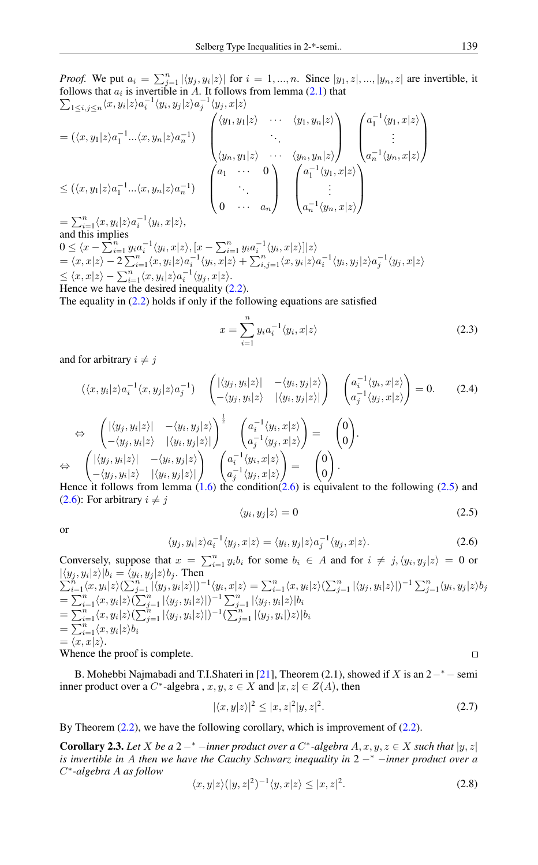*Proof.* We put  $a_i = \sum_{j=1}^n |\langle y_j, y_i | z \rangle|$  for  $i = 1, ..., n$ . Since  $|y_1, z|, ..., |y_n, z|$  are invertible, it follows that  $a_i$  is invertible in A. It follows from lemma [\(2.1\)](#page-2-2) that  $\sum_{1\leq i,j\leq n}\langle x,y_i|z\rangle a_i^{-1}\langle y_i,y_j|z\rangle a_j^{-1}\langle y_j,x|z\rangle$ 

$$
\begin{aligned}\n&= (\langle x, y_1 | z \rangle a_1^{-1} \dots \langle x, y_n | z \rangle a_n^{-1}) \\
&= (\langle x, y_1 | z \rangle a_1^{-1} \dots \langle x, y_n | z \rangle a_n^{-1}) \\
&\leq (\langle x, y_1 | z \rangle a_1^{-1} \dots \langle x, y_n | z \rangle a_n^{-1}) \\
&\leq & (\langle x, y_1 | z \rangle a_1^{-1} \dots \langle x, y_n | z \rangle a_n^{-1}) \\
&= & \sum_{i=1}^n \langle x, y_i | z \rangle a_i^{-1} \langle y_i, x | z \rangle,\n\end{aligned}\n\qquad\n\begin{pmatrix}\n\langle y_1, y_1 | z \rangle & \cdots & \langle y_1, y_n | z \rangle \\
\vdots & \ddots & \vdots \\
0 & \cdots & a_n\n\end{pmatrix}\n\begin{pmatrix}\na_1^{-1} \langle y_1, x | z \rangle \\
\vdots \\
a_n^{-1} \langle y_n, x | z \rangle\n\end{pmatrix}\n\begin{pmatrix}\na_1^{-1} \langle y_1, x | z \rangle \\
\vdots \\
a_n^{-1} \langle y_n, x | z \rangle\n\end{pmatrix}
$$

and this implies  $0 \leq \langle x - \sum_{i=1}^n y_i a_i^{-1} \langle y_i, x | z \rangle, [x - \sum_{i=1}^n y_i a_i^{-1} \langle y_i, x | z \rangle] | z \rangle$  $= \langle x, x | z \rangle - 2 \sum_{i=1}^n \langle x, y_i | z \rangle a_i^{-1} \langle y_i, x | z \rangle + \sum_{i,j=1}^n \langle x, y_i | z \rangle a_i^{-1} \langle y_i, y_j | z \rangle a_j^{-1} \langle y_j, x | z \rangle$  $\leq \langle x, x|z\rangle - \sum_{i=1}^n \langle x, y_i|z\rangle a_i^{-1} \langle y_j, x|z\rangle.$ Hence we have the desired inequality  $(2.2)$ .

The equality in  $(2.2)$  holds if only if the following equations are satisfied

$$
x = \sum_{i=1}^{n} y_i a_i^{-1} \langle y_i, x | z \rangle
$$
 (2.3)

and for arbitrary  $i \neq j$ 

$$
(\langle x, y_i | z \rangle a_i^{-1} \langle x, y_j | z \rangle a_j^{-1}) \begin{pmatrix} |\langle y_j, y_i | z \rangle| & -\langle y_i, y_j | z \rangle \\ -\langle y_j, y_i | z \rangle & |\langle y_i, y_j | z \rangle| \end{pmatrix} \begin{pmatrix} a_i^{-1} \langle y_i, x | z \rangle \\ a_j^{-1} \langle y_j, x | z \rangle \end{pmatrix} = 0.
$$
 (2.4)  
\n
$$
\Leftrightarrow \begin{pmatrix} |\langle y_j, y_i | z \rangle| & -\langle y_i, y_j | z \rangle \\ -\langle y_j, y_i | z \rangle & |\langle y_i, y_j | z \rangle| \end{pmatrix} \begin{pmatrix} a_i^{-1} \langle y_i, x | z \rangle \\ a_j^{-1} \langle y_j, x | z \rangle \end{pmatrix} = \begin{pmatrix} 0 \\ 0 \end{pmatrix}.
$$
  
\n
$$
\Leftrightarrow \begin{pmatrix} |\langle y_j, y_i | z \rangle| & -\langle y_i, y_j | z \rangle \\ -\langle y_j, y_i | z \rangle & |\langle y_i, y_j | z \rangle| \end{pmatrix} \begin{pmatrix} a_i^{-1} \langle y_i, x | z \rangle \\ a_j^{-1} \langle y_j, x | z \rangle \end{pmatrix} = \begin{pmatrix} 0 \\ 0 \end{pmatrix}.
$$

Hence it follows from lemma  $(1.6)$  the condition[\(2.6\)](#page-3-0) is equivalent to the following [\(2.5\)](#page-3-1) and [\(2.6\)](#page-3-0): For arbitrary  $i \neq j$ 

$$
\langle y_i, y_j | z \rangle = 0 \tag{2.5}
$$

<span id="page-3-0"></span>or

<span id="page-3-1"></span>
$$
\langle y_j, y_i | z \rangle a_i^{-1} \langle y_j, x | z \rangle = \langle y_i, y_j | z \rangle a_j^{-1} \langle y_j, x | z \rangle.
$$
 (2.6)

Conversely, suppose that  $x = \sum_{i=1}^{n} y_i b_i$  for some  $b_i \in A$  and for  $i \neq j, \langle y_i, y_j | z \rangle = 0$  or  $|\langle y_j , y_i | z \rangle| b_i = \langle y_i$  $\begin{array}{l} \displaystyle \langle y_j,y_i|z\rangle|b_i=\langle y_i,y_j|z\rangle b_j. \text{ Then} \[1mm] \displaystyle \sum_{i=1}^n \langle x,y_i|z\rangle (\sum_{j=1}^n|\langle y_j,y_i|z\rangle|)^{-1}\langle y_i,x|z\rangle=\sum_{i=1}^n \langle x,y_i|z\rangle (\sum_{j=1}^n|\langle y_j,y_i|z\rangle|)^{-1} \sum_{j=1}^n \langle y_i,y_j|z\rangle b_j. \end{array}$  $\sum$  $=\sum_{i=1}^n\langle x,y_i|z\rangle(\sum_{j=1}^n|\langle y_j,y_i|z\rangle|)^{-1}\sum_{j=1}^n|\langle y_j,y_i|z\rangle|b_i$  $=\sum_{i=1}^n\langle x,y_i|z\rangle(\sum_{j=1}^n|\langle y_j,y_i|z\rangle|)^{-1}(\sum_{j=1}^n|\langle y_j,y_i|)z\rangle|b_i$  $=\sum_{i=1}^n\langle x,y_i|z\rangle b_i$  $= \langle x, x|z \rangle.$  $\Box$ 

Whence the proof is complete.

B. Mohebbi Najmabadi and T.I.Shateri in [\[21\]](#page-6-6), Theorem (2.1), showed if X is an  $2^{-*}$  – semi inner product over a C<sup>\*</sup>-algebra,  $x, y, z \in X$  and  $|x, z| \in Z(A)$ , then

$$
|\langle x, y|z\rangle|^2 \le |x, z|^2 |y, z|^2. \tag{2.7}
$$

By Theorem  $(2.2)$ , we have the following corollary, which is improvement of  $(2.2)$ .

**Corollary 2.3.** Let *X* be a 2 -<sup>\*</sup> -*inner product over a* C<sup>\*</sup>-algebra  $A, x, y, z \in X$  *such that*  $|y, z|$ *is invertible in* A *then we have the Cauchy Schwarz inequality in* 2 −<sup>∗</sup> −*inner product over a* C ∗ *-algebra* A *as follow*

<span id="page-3-2"></span>
$$
\langle x, y|z\rangle (|y, z|^2)^{-1} \langle y, x|z\rangle \le |x, z|^2. \tag{2.8}
$$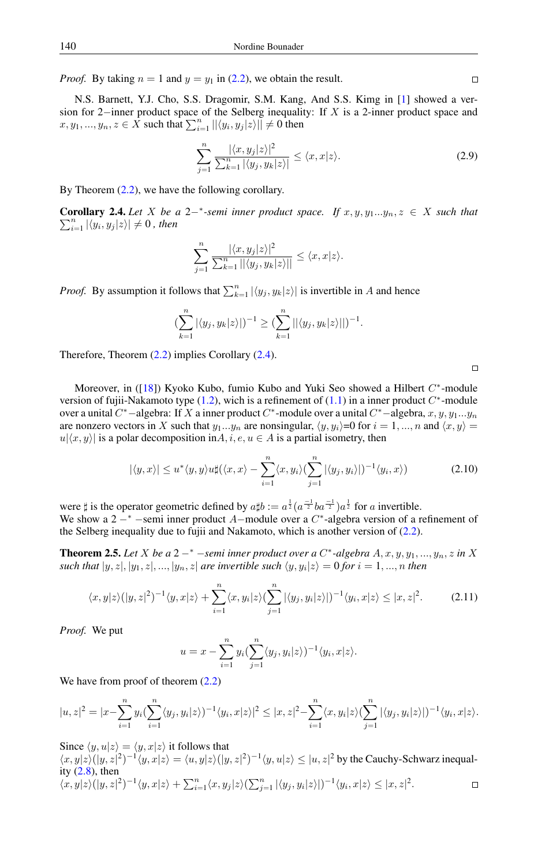*Proof.* By taking  $n = 1$  and  $y = y_1$  in [\(2.2\)](#page-2-1), we obtain the result.

N.S. Barnett, Y.J. Cho, S.S. Dragomir, S.M. Kang, And S.S. Kimg in [\[1\]](#page-6-15) showed a version for 2−inner product space of the Selberg inequality: If X is a 2-inner product space and  $x, y_1, ..., y_n, z \in \overline{X}$  such that  $\sum_{i=1}^n ||\langle y_i, y_j | z \rangle|| \neq 0$  then

$$
\sum_{j=1}^{n} \frac{|\langle x, y_j | z \rangle|^2}{\sum_{k=1}^{n} |\langle y_j, y_k | z \rangle|} \le \langle x, x | z \rangle.
$$
\n(2.9)

By Theorem  $(2.2)$ , we have the following corollary.

<span id="page-4-0"></span>**Corollary 2.4.** Let *X* be a 2<sup>-∗</sup>-semi inner product space. If  $x, y, y_1...y_n, z \in X$  such that  $\sum_{i=1}^n |\langle y_i, y_j | z \rangle| \neq 0$ , then

$$
\sum_{j=1}^n \frac{|\langle x, y_j | z \rangle|^2}{\sum_{k=1}^n ||\langle y_j, y_k | z \rangle||} \le \langle x, x | z \rangle.
$$

*Proof.* By assumption it follows that  $\sum_{k=1}^{n} |\langle y_j, y_k | z \rangle|$  is invertible in A and hence

$$
\left(\sum_{k=1}^n |\langle y_j, y_k | z \rangle| \right)^{-1} \ge \left(\sum_{k=1}^n ||\langle y_j, y_k | z \rangle||\right)^{-1}.
$$

Therefore, Theorem [\(2.2\)](#page-2-3) implies Corollary [\(2.4\)](#page-4-0).

Moreover, in ([\[18\]](#page-6-10)) Kyoko Kubo, fumio Kubo and Yuki Seo showed a Hilbert C<sup>\*</sup>-module version of fujii-Nakamoto type  $(1.2)$ , wich is a refinement of  $(1.1)$  in a inner product  $C^*$ -module over a unital  $C^*$  –algebra: If X a inner product  $C^*$ -module over a unital  $C^*$ –algebra,  $x, y, y_1...y_n$ are nonzero vectors in X such that  $y_1...y_n$  are nonsingular,  $\langle y, y_i \rangle = 0$  for  $i = 1, ..., n$  and  $\langle x, y \rangle =$  $u(x, y)$  is a polar decomposition in A, i, e,  $u \in A$  is a partial isometry, then

$$
|\langle y, x \rangle| \le u^* \langle y, y \rangle u \sharp (\langle x, x \rangle - \sum_{i=1}^n \langle x, y_i \rangle (\sum_{j=1}^n |\langle y_j, y_i \rangle|)^{-1} \langle y_i, x \rangle)
$$
(2.10)

were  $\sharp$  is the operator geometric defined by  $a\sharp b := a^{\frac{1}{2}}(a^{-\frac{1}{2}}ba^{-\frac{1}{2}})a^{\frac{1}{2}}$  for a invertible. We show a  $2 - *$  -semi inner product A-module over a  $C^*$ -algebra version of a refinement of the Selberg inequality due to fujii and Nakamoto, which is another version of [\(2.2\)](#page-2-1).

**Theorem 2.5.** Let X be a 2  $-$ <sup>\*</sup>  $-$ *semi inner product over a C*<sup>\*</sup> $-$ algebra  $A, x, y, y_1, ..., y_n, z$  *in* X such that  $|y, z|, |y_1, z|, ..., |y_n, z|$  are invertible such  $\langle y, y_i | z \rangle = 0$  for  $i = 1, ..., n$  then

$$
\langle x,y|z\rangle(|y,z|^2)^{-1}\langle y,x|z\rangle + \sum_{i=1}^n \langle x,y_i|z\rangle \left(\sum_{j=1}^n |\langle y_j,y_i|z\rangle|\right)^{-1}\langle y_i,x|z\rangle \le |x,z|^2. \tag{2.11}
$$

*Proof.* We put

$$
u = x - \sum_{i=1}^{n} y_i \left( \sum_{j=1}^{n} \langle y_j, y_i | z \rangle \right)^{-1} \langle y_i, x | z \rangle.
$$

We have from proof of theorem  $(2.2)$ 

$$
|u,z|^2 = |x - \sum_{i=1}^n y_i (\sum_{i=1}^n \langle y_i, y_i | z \rangle)^{-1} \langle y_i, x | z \rangle|^2 \le |x,z|^2 - \sum_{i=1}^n \langle x, y_i | z \rangle (\sum_{j=1}^n |\langle y_j, y_i | z \rangle|)^{-1} \langle y_i, x | z \rangle.
$$

Since  $\langle y, u|z \rangle = \langle y, x|z \rangle$  it follows that

 $\langle x,y|z\rangle(|y,z|^2)^{-1}\langle y,x|z\rangle = \langle u,y|z\rangle(|y,z|^2)^{-1}\langle y,u|z\rangle \leq |u,z|^2$  by the Cauchy-Schwarz inequality  $(2.8)$ , then  $\langle x,y|z\rangle\big(|y,z|^2)^{-1}\langle y,x|z\rangle+\textstyle\sum_{i=1}^n\langle x,y_j|z\rangle(\textstyle\sum_{j=1}^n|\langle y_j,y_i|z\rangle|)^{-1}\langle y_i,x|z\rangle\le|x,z|^2.$  $\Box$ 

 $\Box$ 

 $\Box$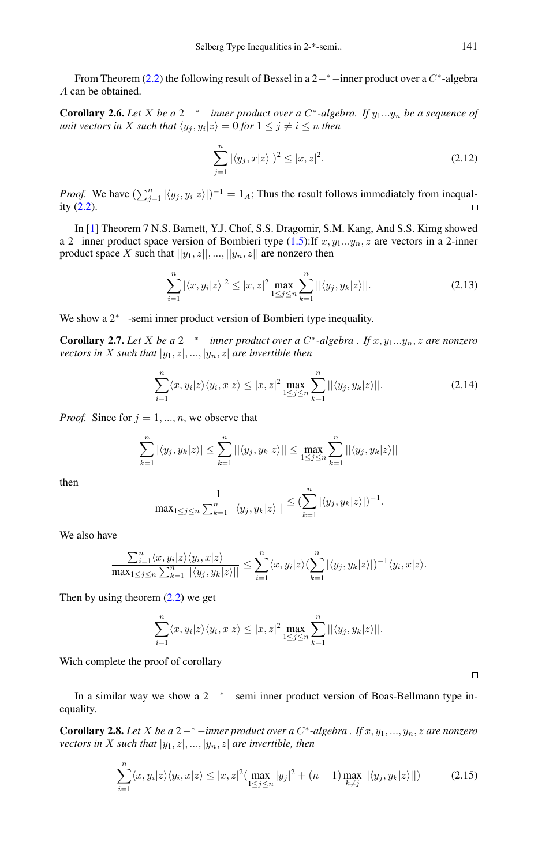From Theorem [\(2.2\)](#page-2-3) the following result of Bessel in a  $2-<sup>*</sup>$ -inner product over a  $C^*$ -algebra A can be obtained.

**Corollary 2.6.** Let X be a 2  $-$ <sup>\*</sup>  $-$ *inner product over a C*<sup>\*</sup> $-$ *algebra. If*  $y_1...y_n$  be a sequence of  $u$ nit vectors in  $X$  such that  $\langle y_j , y_i | z \rangle = 0$  for  $1 \leq j \neq i \leq n$  then

$$
\sum_{j=1}^{n} |\langle y_j, x | z \rangle| \rangle^2 \le |x, z|^2.
$$
\n(2.12)

*Proof.* We have  $(\sum_{j=1}^n |\langle y_j, y_i | z \rangle|)^{-1} = 1_A$ ; Thus the result follows immediately from inequality [\(2.2\)](#page-2-1).  $\Box$ 

In [\[1\]](#page-6-15) Theorem 7 N.S. Barnett, Y.J. Chof, S.S. Dragomir, S.M. Kang, And S.S. Kimg showed a 2–inner product space version of Bombieri type  $(1.5)$ :If  $x, y_1...y_n, z$  are vectors in a 2-inner product space X such that  $||y_1, z||, ..., ||y_n, z||$  are nonzero then

$$
\sum_{i=1}^{n} |\langle x, y_i | z \rangle|^2 \le |x, z|^2 \max_{1 \le j \le n} \sum_{k=1}^{n} ||\langle y_j, y_k | z \rangle||. \tag{2.13}
$$

We show a 2<sup>∗</sup>−-semi inner product version of Bombieri type inequality.

Corollary 2.7. *Let* X *be a* 2 −<sup>∗</sup> −*inner product over a* C ∗ *-algebra . If* x, y1...yn, z *are nonzero vectors in* X *such that*  $|y_1, z|, ..., |y_n, z|$  *are invertible then* 

$$
\sum_{i=1}^{n} \langle x, y_i | z \rangle \langle y_i, x | z \rangle \le |x, z|^2 \max_{1 \le j \le n} \sum_{k=1}^{n} || \langle y_j, y_k | z \rangle ||. \tag{2.14}
$$

*Proof.* Since for  $j = 1, ..., n$ , we observe that

$$
\sum_{k=1}^{n} |\langle y_j, y_k | z \rangle| \leq \sum_{k=1}^{n} ||\langle y_j, y_k | z \rangle|| \leq \max_{1 \leq j \leq n} \sum_{k=1}^{n} ||\langle y_j, y_k | z \rangle||
$$

then

$$
\frac{1}{\max_{1 \leq j \leq n} \sum_{k=1}^n ||\langle y_j, y_k | z \rangle||} \leq (\sum_{k=1}^n |\langle y_j, y_k | z \rangle|)^{-1}.
$$

We also have

$$
\frac{\sum_{i=1}^n\langle x,y_i|z\rangle\langle y_i,x|z\rangle}{\max_{1\leq j\leq n}\sum_{k=1}^n||\langle y_j,y_k|z\rangle||} \leq \sum_{i=1}^n\langle x,y_i|z\rangle(\sum_{k=1}^n|\langle y_j,y_k|z\rangle|)^{-1}\langle y_i,x|z\rangle.
$$

Then by using theorem  $(2.2)$  we get

$$
\sum_{i=1}^n \langle x, y_i | z \rangle \langle y_i, x | z \rangle \leq |x, z|^2 \max_{1 \leq j \leq n} \sum_{k=1}^n ||\langle y_j, y_k | z \rangle||.
$$

Wich complete the proof of corollary

In a similar way we show a  $2 -<sup>*</sup>$  -semi inner product version of Boas-Bellmann type inequality.

**Corollary 2.8.** Let X be a 2 -\* -*inner product over a C*<sup>\*</sup>-algebra . If  $x, y_1, ..., y_n, z$  are nonzero *vectors in* X *such that*  $|y_1, z|, ..., |y_n, z|$  *are invertible, then* 

$$
\sum_{i=1}^{n} \langle x, y_i | z \rangle \langle y_i, x | z \rangle \le |x, z|^2 \left( \max_{1 \le j \le n} |y_j|^2 + (n-1) \max_{k \ne j} ||\langle y_j, y_k | z \rangle || \right) \tag{2.15}
$$

 $\Box$